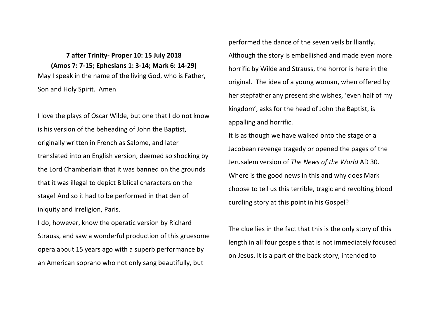## **7 after Trinity- Proper 10: 15 July 2018 (Amos 7: 7-15; Ephesians 1: 3-14; Mark 6: 14-29)** May I speak in the name of the living God, who is Father, Son and Holy Spirit. Amen

I love the plays of Oscar Wilde, but one that I do not know is his version of the beheading of John the Baptist, originally written in French as Salome, and later translated into an English version, deemed so shocking by the Lord Chamberlain that it was banned on the grounds that it was illegal to depict Biblical characters on the stage! And so it had to be performed in that den of iniquity and irreligion. Paris.

I do, however, know the operatic version by Richard Strauss, and saw a wonderful production of this gruesome opera about 15 years ago with a superb performance by an American soprano who not only sang beautifully, but

performed the dance of the seven veils brilliantly. Although the story is embellished and made even more horrific by Wilde and Strauss, the horror is here in the original. The idea of a young woman, when offered by her stepfather any present she wishes, 'even half of my kingdom', asks for the head of John the Baptist, is appalling and horrific.

It is as though we have walked onto the stage of a Jacobean revenge tragedy or opened the pages of the Jerusalem version of *The News of the World* AD 30. Where is the good news in this and why does Mark choose to tell us this terrible, tragic and revolting blood curdling story at this point in his Gospel?

The clue lies in the fact that this is the only story of this length in all four gospels that is not immediately focused on Jesus. It is a part of the back-story, intended to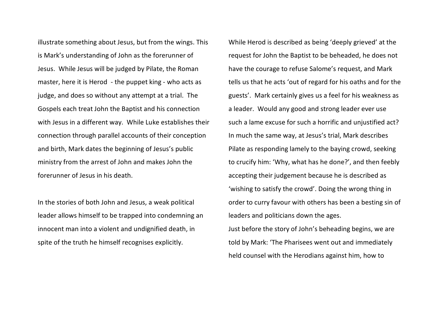illustrate something about Jesus, but from the wings. This is Mark's understanding of John as the forerunner of Jesus. While Jesus will be judged by Pilate, the Roman master, here it is Herod - the puppet king - who acts as judge, and does so without any attempt at a trial. The Gospels each treat John the Baptist and his connection with Jesus in a different way. While Luke establishes their connection through parallel accounts of their conception and birth, Mark dates the beginning of Jesus's public ministry from the arrest of John and makes John the forerunner of Jesus in his death.

In the stories of both John and Jesus, a weak political leader allows himself to be trapped into condemning an innocent man into a violent and undignified death, in spite of the truth he himself recognises explicitly.

While Herod is described as being 'deeply grieved' at the request for John the Baptist to be beheaded, he does not have the courage to refuse Salome's request, and Mark tells us that he acts 'out of regard for his oaths and for the guests'. Mark certainly gives us a feel for his weakness as a leader. Would any good and strong leader ever use such a lame excuse for such a horrific and unjustified act? In much the same way, at Jesus's trial, Mark describes Pilate as responding lamely to the baying crowd, seeking to crucify him: 'Why, what has he done?', and then feebly accepting their judgement because he is described as 'wishing to satisfy the crowd'. Doing the wrong thing in order to curry favour with others has been a besting sin of leaders and politicians down the ages. Just before the story of John's beheading begins, we are told by Mark: 'The Pharisees went out and immediately held counsel with the Herodians against him, how to